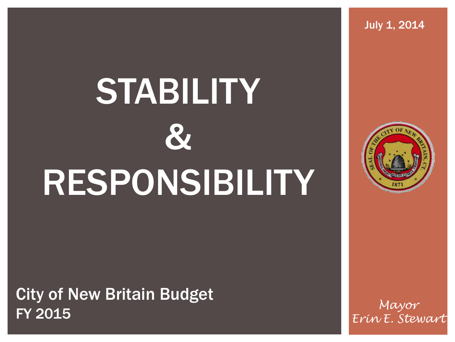# **STABILITY** & RESPONSIBILITY

City of New Britain Budget FY 2015

*Mayor Erin E. Stewart* 



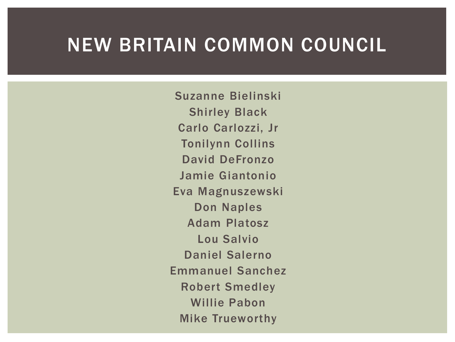### NEW BRITAIN COMMON COUNCIL

Suzanne Bielinski Shirley Black Carlo Carlozzi, Jr Tonilynn Collins David DeFronzo Jamie Giantonio Eva Magnuszewski Don Naples Adam Platosz Lou Salvio Daniel Salerno Emmanuel Sanchez Robert Smedley Willie Pabon Mike Trueworthy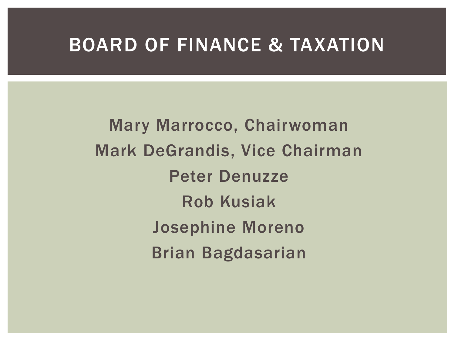### BOARD OF FINANCE & TAXATION

Mary Marrocco, Chairwoman Mark DeGrandis, Vice Chairman Peter Denuzze Rob Kusiak Josephine Moreno Brian Bagdasarian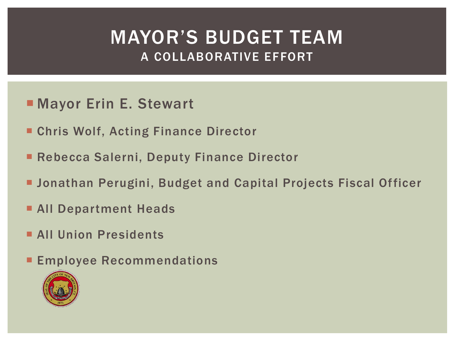### MAYOR'S BUDGET TEAM A COLLABORATIVE EFFORT

- **Mayor Erin E. Stewart**
- Chris Wolf, Acting Finance Director
- Rebecca Salerni, Deputy Finance Director
- Jonathan Perugini, Budget and Capital Projects Fiscal Officer
- **All Department Heads**
- **All Union Presidents**
- **Employee Recommendations**

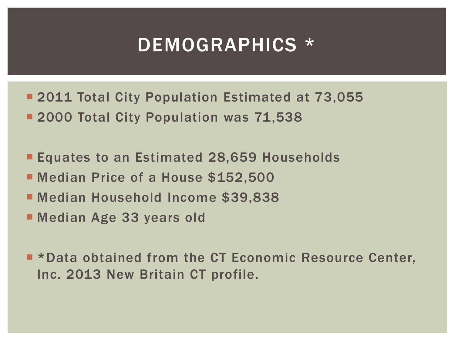### DEMOGRAPHICS \*

- **2011 Total City Population Estimated at 73,055 2000 Total City Population was 71,538**
- **Equates to an Estimated 28,659 Households**
- **Nedian Price of a House \$152,500**
- Median Household Income \$39,838
- Median Age 33 years old

**E** \*Data obtained from the CT Economic Resource Center, Inc. 2013 New Britain CT profile.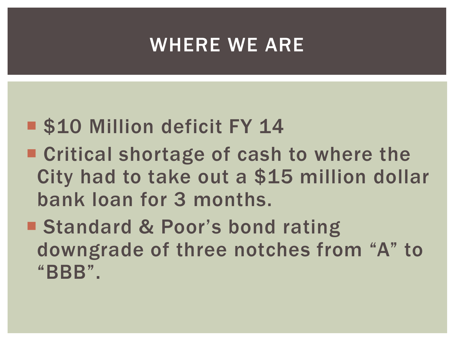### WHERE WE ARE

- **S10 Million deficit FY 14**
- Critical shortage of cash to where the City had to take out a \$15 million dollar bank loan for 3 months.
- Standard & Poor's bond rating downgrade of three notches from "A" to "BBB".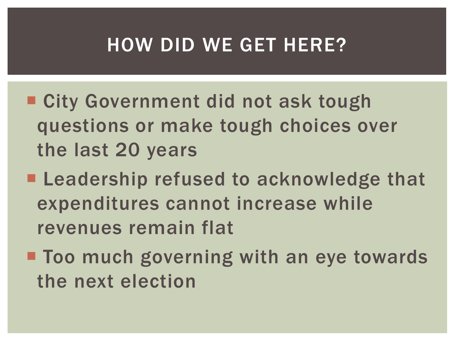### HOW DID WE GET HERE?

- City Government did not ask tough questions or make tough choices over the last 20 years
- **Leadership refused to acknowledge that** expenditures cannot increase while revenues remain flat
- **Too much governing with an eye towards** the next election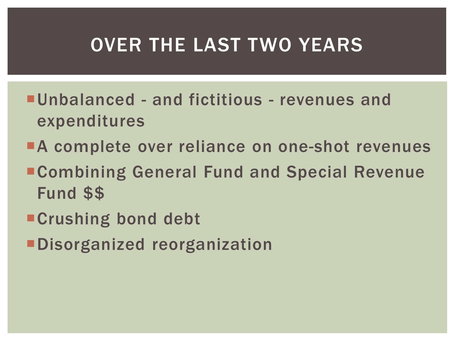## OVER THE LAST TWO YEARS

- Unbalanced and fictitious revenues and expenditures
- **A complete over reliance on one-shot revenues**
- Combining General Fund and Special Revenue Fund \$\$
- **Crushing bond debt**
- Disorganized reorganization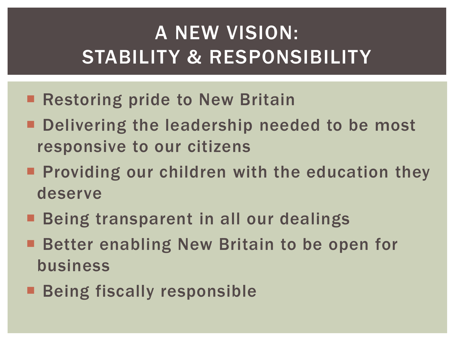## A NEW VISION: STABILITY & RESPONSIBILITY

- Restoring pride to New Britain
- **Part Delivering the leadership needed to be most** responsive to our citizens
- **Providing our children with the education they** deserve
- **Being transparent in all our dealings**
- Better enabling New Britain to be open for business
- **Being fiscally responsible**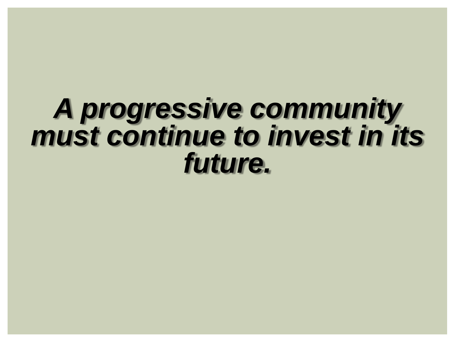## *A progressive community must continue to invest in its future.*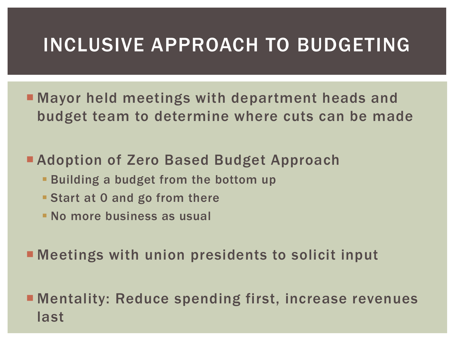### INCLUSIVE APPROACH TO BUDGETING

**• Mayor held meetings with department heads and** budget team to determine where cuts can be made

### **Adoption of Zero Based Budget Approach**

- **Building a budget from the bottom up**
- **Start at 0 and go from there**
- **No more business as usual**

Meetings with union presidents to solicit input

**E** Mentality: Reduce spending first, increase revenues last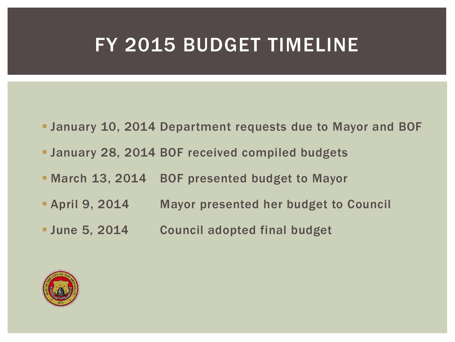### FY 2015 BUDGET TIMELINE

- January 10, 2014 Department requests due to Mayor and BOF
- January 28, 2014 BOF received compiled budgets
- **March 13, 2014 BOF presented budget to Mayor**
- **April 9, 2014 Mayor presented her budget to Council**
- **June 5, 2014 Council adopted final budget**

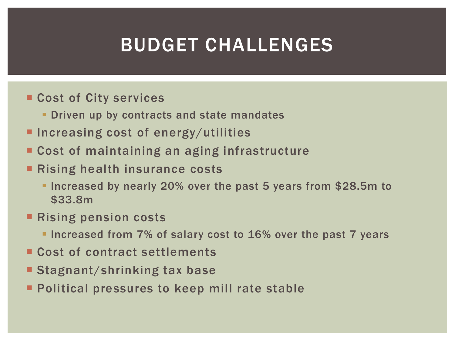## BUDGET CHALLENGES

- Cost of City services
	- **Driven up by contracts and state mandates**
- **Increasing cost of energy/utilities**
- Cost of maintaining an aging infrastructure
- Rising health insurance costs
	- **Increased by nearly 20% over the past 5 years from \$28.5m to** \$33.8m
- **Rising pension costs** 
	- **Increased from 7% of salary cost to 16% over the past 7 years**
- Cost of contract settlements
- Stagnant/shrinking tax base
- **Political pressures to keep mill rate stable**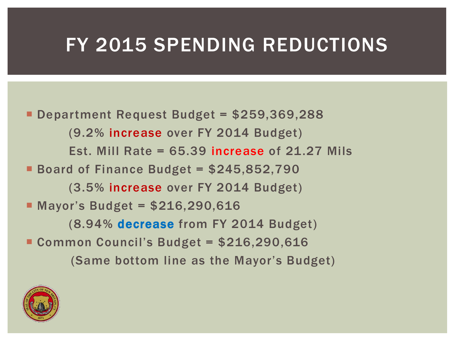### FY 2015 SPENDING REDUCTIONS

 Department Request Budget = \$259,369,288 (9.2% increase over FY 2014 Budget) Est. Mill Rate  $= 65.39$  increase of 21.27 Mils Board of Finance Budget = \$245,852,790 (3.5% increase over FY 2014 Budget) ■ Mayor's Budget = \$216,290,616 (8.94% decrease from FY 2014 Budget) Common Council's Budget = \$216,290,616 (Same bottom line as the Mayor's Budget)

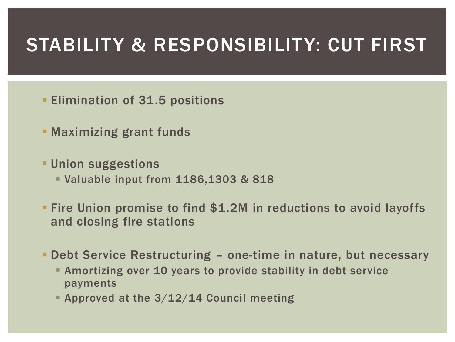### STABILITY & RESPONSIBILITY: CUT FIRST

- **Elimination of 31.5 positions**
- **Maximizing grant funds**
- **Union suggestions** 
	- Valuable input from 1186,1303 & 818
- **Fire Union promise to find \$1.2M in reductions to avoid layoffs** and closing fire stations
- Debt Service Restructuring one-time in nature, but necessary
	- Amortizing over 10 years to provide stability in debt service payments
	- **Approved at the 3/12/14 Council meeting**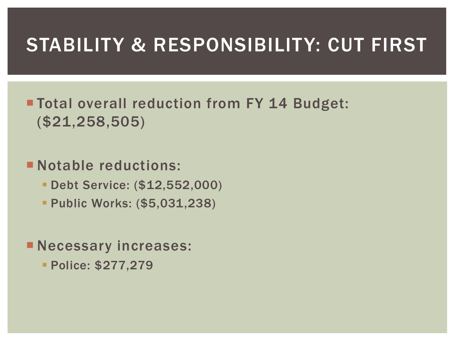### STABILITY & RESPONSIBILITY: CUT FIRST

**Total overall reduction from FY 14 Budget:** (\$21,258,505)

### **Notable reductions:**

- Debt Service: (\$12,552,000)
- **Public Works: (\$5,031,238)**

**Necessary increases:** 

Police: \$277,279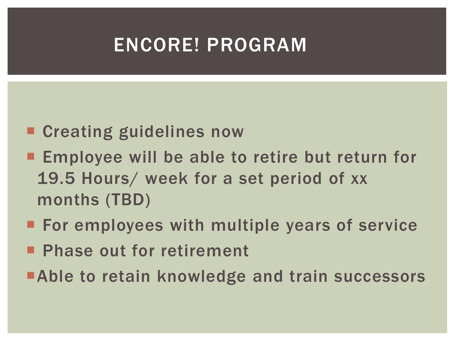## ENCORE! PROGRAM

- Creating guidelines now
- **Employee will be able to retire but return for** 19.5 Hours/ week for a set period of xx months (TBD)
- **For employees with multiple years of service**
- **Phase out for retirement**
- **Able to retain knowledge and train successors**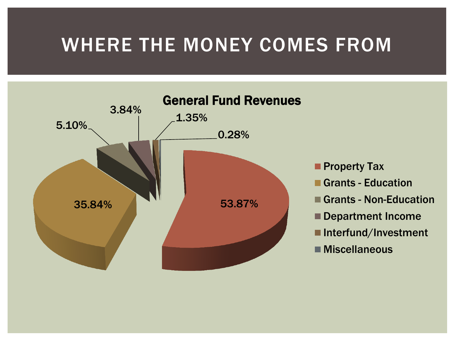### WHERE THE MONEY COMES FROM



- **Property Tax**
- Grants Education
- Grants Non-Education
- **Department Income**
- Interfund/Investment
- Miscellaneous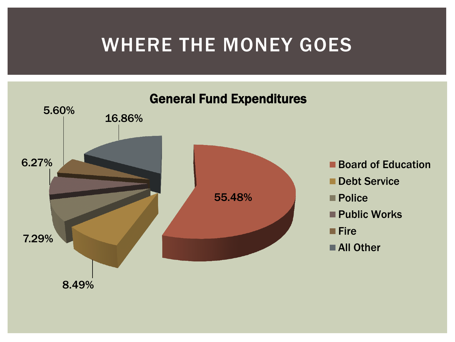## WHERE THE MONEY GOES

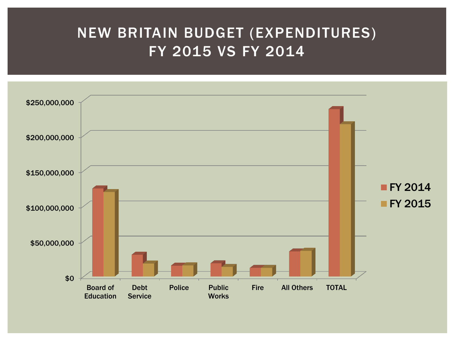### NEW BRITAIN BUDGET (EXPENDITURES) FY 2015 VS FY 2014

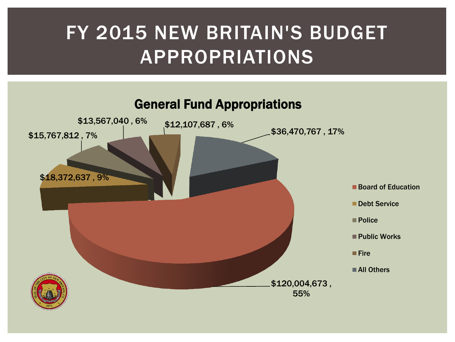## FY 2015 NEW BRITAIN'S BUDGET APPROPRIATIONS

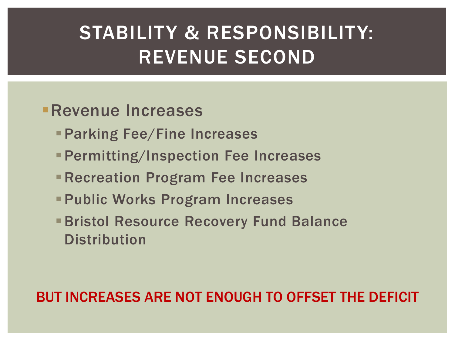## STABILITY & RESPONSIBILITY: REVENUE SECOND

### Revenue Increases

- **Parking Fee/Fine Increases**
- Permitting/Inspection Fee Increases
- **Recreation Program Fee Increases**
- **Public Works Program Increases**
- **Bristol Resource Recovery Fund Balance Distribution**

### BUT INCREASES ARE NOT ENOUGH TO OFFSET THE DEFICIT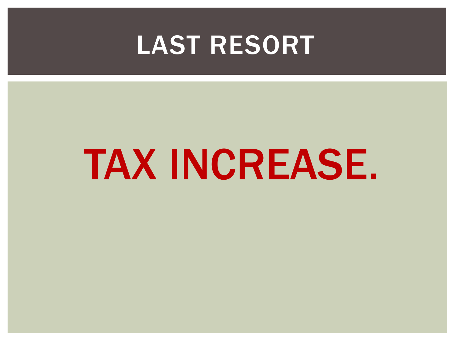## LAST RESORT

## TAX INCREASE.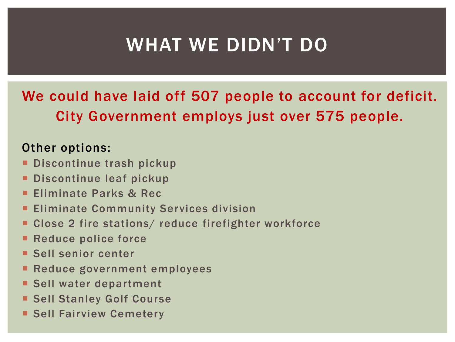## WHAT WE DIDN'T DO

### We could have laid off 507 people to account for deficit. City Government employs just over 575 people.

### Other options:

- Discontinue trash pickup
- Discontinue leaf pickup
- Eliminate Parks & Rec
- Eliminate Community Services division
- Close 2 fire stations/ reduce firefighter workforce
- Reduce police force
- **Sell senior center**
- **Reduce government employees**
- **Sell water department**
- **Sell Stanley Golf Course**
- **Sell Fairview Cemetery**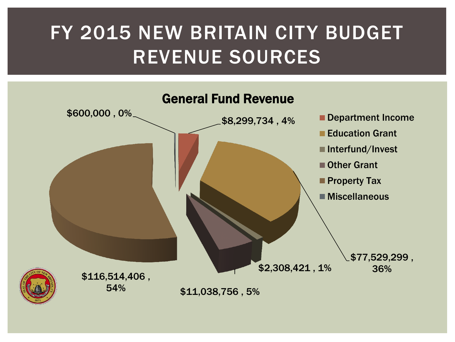## FY 2015 NEW BRITAIN CITY BUDGET REVENUE SOURCES

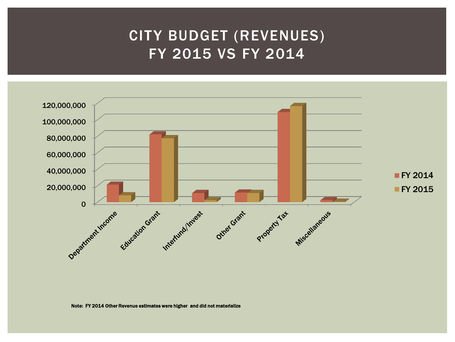### CITY BUDGET (REVENUES) FY 2015 VS FY 2014



Note: FY 2014 Other Revenue estimates were higher and did not materialize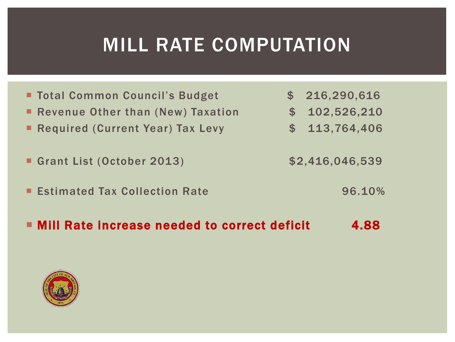## MILL RATE COMPUTATION

■ Total Common Council's Budget **\$ 216,290,616** Revenue Other than (New) Taxation  $$ 102,526,210$ Required (Current Year) Tax Levy  $$ 113,764,406$ Grant List (October 2013) \$2,416,046,539 **Estimated Tax Collection Rate 6 and Estimated Tax Collection Rate** ■ Mill Rate increase needed to correct deficit 4.88

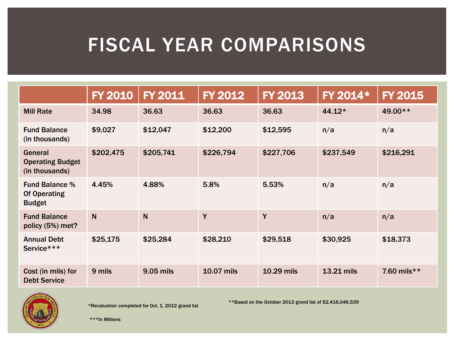## FISCAL YEAR COMPARISONS

|                                                               | <b>FY 2010</b> | <b>FY 2011</b> | <b>FY 2012</b>    | <b>FY 2013</b> | FY 2014*   | <b>FY 2015</b> |
|---------------------------------------------------------------|----------------|----------------|-------------------|----------------|------------|----------------|
| <b>Mill Rate</b>                                              | 34.98          | 36.63          | 36.63             | 36.63          | $44.12*$   | 49.00**        |
| <b>Fund Balance</b><br>(in thousands)                         | \$9,027        | \$12,047       | \$12,200          | \$12,595       | n/a        | n/a            |
| General<br><b>Operating Budget</b><br>(in thousands)          | \$202,475      | \$205,741      | \$226,794         | \$227,706      | \$237,549  | \$216,291      |
| <b>Fund Balance %</b><br><b>Of Operating</b><br><b>Budget</b> | 4.45%          | 4.88%          | 5.8%              | 5.53%          | n/a        | n/a            |
| <b>Fund Balance</b><br>policy (5%) met?                       | $\mathsf{N}$   | N              | Y                 | Y              | n/a        | n/a            |
| <b>Annual Debt</b><br>Service***                              | \$25,175       | \$25,284       | \$28,210          | \$29,518       | \$30,925   | \$18,373       |
| Cost (in mils) for<br><b>Debt Service</b>                     | 9 mils         | 9.05 mils      | <b>10.07 mils</b> | 10.29 mils     | 13.21 mils | 7.60 mils**    |



\*Revaluation completed for Oct. 1, 2012 grand list

\*\*Based on the October 2013 grand list of \$2,416,046,539

\*\*\*In Millions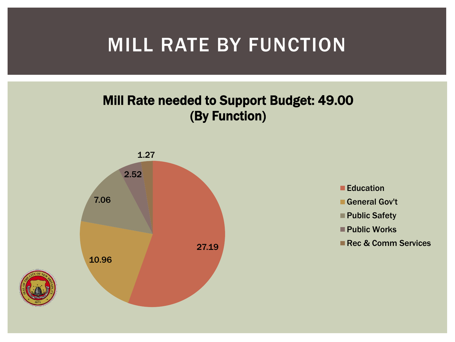## MILL RATE BY FUNCTION

### Mill Rate needed to Support Budget: 49.00 (By Function)



- **Education**
- General Gov't
- Public Safety
- **Public Works**
- Rec & Comm Services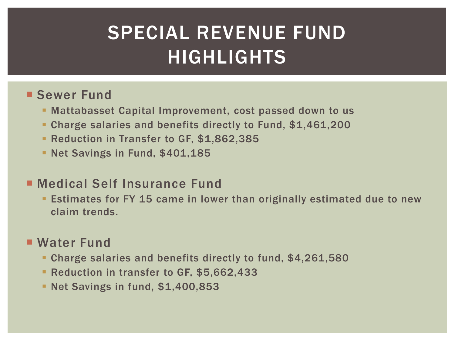## SPECIAL REVENUE FUND HIGHLIGHTS

### **Sewer Fund**

- Mattabasset Capital Improvement, cost passed down to us
- **Charge salaries and benefits directly to Fund, \$1,461,200**
- **Reduction in Transfer to GF, \$1,862,385**
- **Net Savings in Fund, \$401,185**

### ■ Medical Self Insurance Fund

**Eighthare Four FY 15 came in lower than originally estimated due to new** claim trends.

### **Water Fund**

- Charge salaries and benefits directly to fund, \$4,261,580
- **Reduction in transfer to GF, \$5,662,433**
- **Net Savings in fund, \$1,400,853**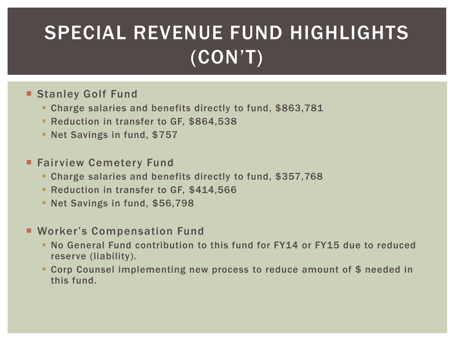## SPECIAL REVENUE FUND HIGHLIGHTS (CON'T)

#### **Stanley Golf Fund**

- **Charge salaries and benefits directly to fund, \$863,781**
- Reduction in transfer to GF, \$864,538
- **Net Savings in fund, \$757**

#### **Fairview Cemetery Fund**

- Charge salaries and benefits directly to fund, \$357,768
- **Reduction in transfer to GF, \$414,566**
- **Net Savings in fund, \$56,798**

#### **E** Worker's Compensation Fund

- No General Fund contribution to this fund for FY14 or FY15 due to reduced reserve (liability).
- Corp Counsel implementing new process to reduce amount of \$ needed in this fund.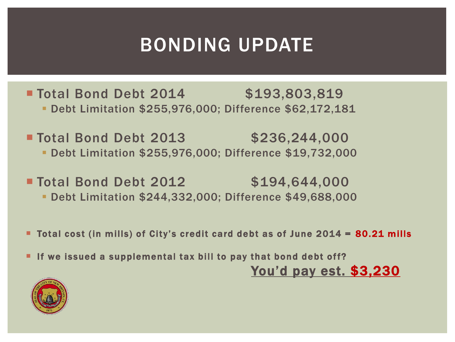## BONDING UPDATE

**Total Bond Debt 2014** \$193,803,819 Debt Limitation \$255,976,000; Difference \$62,172,181

**Total Bond Debt 2013** \$236,244,000 Debt Limitation \$255,976,000; Difference \$19,732,000

**Total Bond Debt 2012** \$194,644,000 Debt Limitation \$244,332,000; Difference \$49,688,000

■ Total cost (in mills) of City's credit card debt as of June 2014 = 80.21 mills

If we issued a supplemental tax bill to pay that bond debt off? You'd pay est. \$3,230

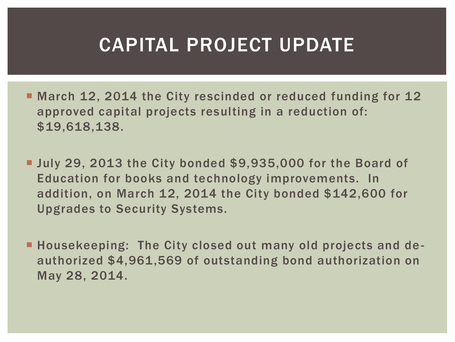### CAPITAL PROJECT UPDATE

- March 12, 2014 the City rescinded or reduced funding for 12 approved capital projects resulting in a reduction of: \$19,618,138.
- **July 29, 2013 the City bonded \$9,935,000 for the Board of** Education for books and technology improvements. In addition, on March 12, 2014 the City bonded \$142,600 for Upgrades to Security Systems.
- **Housekeeping: The City closed out many old projects and de**authorized \$4,961,569 of outstanding bond authorization on May 28, 2014.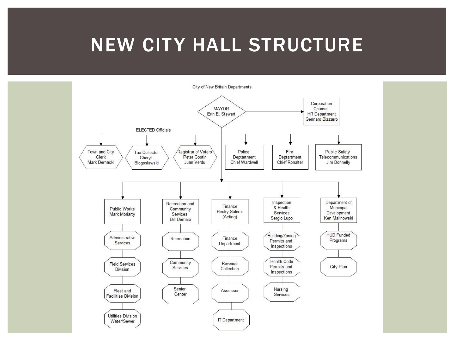### NEW CITY HALL STRUCTURE

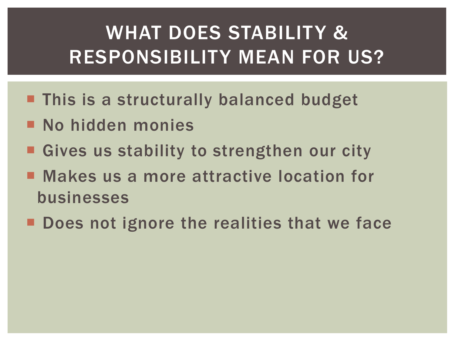## WHAT DOES STABILITY & RESPONSIBILITY MEAN FOR US?

- **This is a structurally balanced budget**
- **No hidden monies**
- Gives us stability to strengthen our city
- Makes us a more attractive location for businesses
- Does not ignore the realities that we face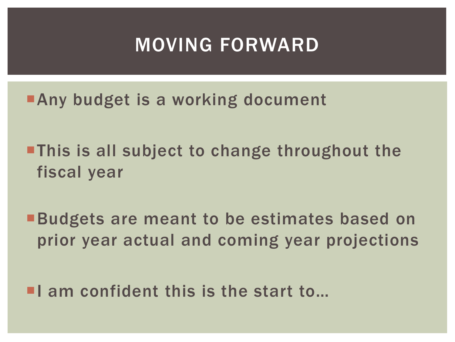### MOVING FORWARD

**Any budget is a working document** 

- **This is all subject to change throughout the** fiscal year
- **Budgets are meant to be estimates based on** prior year actual and coming year projections

 $\blacksquare$  am confident this is the start to...